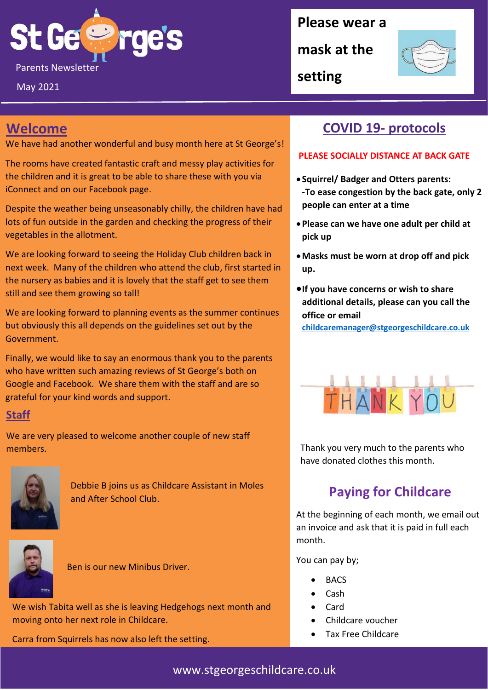

May 2021

#### **Please wear a**

**mask at the** 



**setting**

## **Welcome**

We have had another wonderful and busy month here at St George's!

The rooms have created fantastic craft and messy play activities for the children and it is great to be able to share these with you via iConnect and on our Facebook page.

Despite the weather being unseasonably chilly, the children have had lots of fun outside in the garden and checking the progress of their vegetables in the allotment.

We are looking forward to seeing the Holiday Club children back in next week. Many of the children who attend the club, first started in the nursery as babies and it is lovely that the staff get to see them still and see them growing so tall!

We are looking forward to planning events as the summer continues but obviously this all depends on the guidelines set out by the Government.

Finally, we would like to say an enormous thank you to the parents who have written such amazing reviews of St George's both on Google and Facebook. We share them with the staff and are so grateful for your kind words and support.

#### **Staff**

We are very pleased to welcome another couple of new staff members.



Debbie B joins us as Childcare Assistant in Moles and After School Club.



Ben is our new Minibus Driver.

We wish Tabita well as she is leaving Hedgehogs next month and moving onto her next role in Childcare.

Carra from Squirrels has now also left the setting.

### **COVID 19- protocols**

#### **PLEASE SOCIALLY DISTANCE AT BACK GATE**

- **Squirrel/ Badger and Otters parents: -To ease congestion by the back gate, only 2 people can enter at a time**
- •**Please can we have one adult per child at pick up**
- •**Masks must be worn at drop off and pick up.**
- •**If you have concerns or wish to share additional details, please can you call the office or email**

**[childcaremanager@stgeorgeschildcare.co.uk](mailto:childcaremanager@stgeorgeschildcare.co.uk)**



Thank you very much to the parents who have donated clothes this month.

## **Paying for Childcare**

At the beginning of each month, we email out an invoice and ask that it is paid in full each month.

You can pay by;

- BACS
- Cash
- Card
- Childcare voucher
- Tax Free Childcare

www.stgeorgeschildcare.co.uk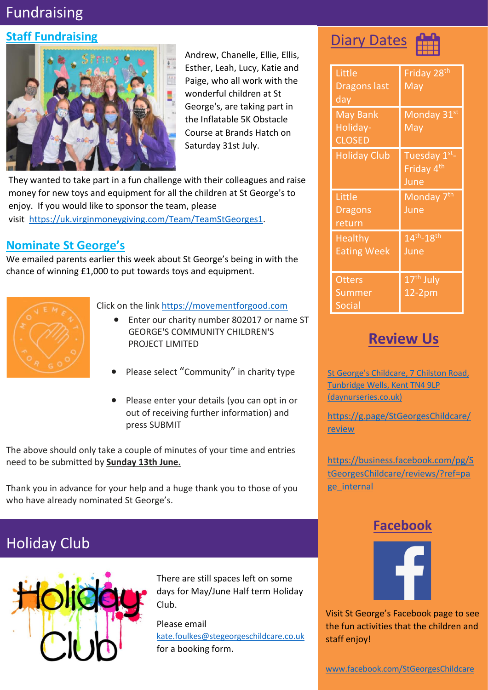# Fundraising

#### **Staff Fundraising**



Andrew, Chanelle, Ellie, Ellis, Esther, Leah, Lucy, Katie and Paige, who all work with the wonderful children at St George's, are taking part in the Inflatable 5K Obstacle Course at Brands Hatch on Saturday 31st July.

They wanted to take part in a fun challenge with their colleagues and raise money for new toys and equipment for all the children at St George's to enjoy. If you would like to sponsor the team, please visit <https://uk.virginmoneygiving.com/Team/TeamStGeorges1>.

#### **Nominate St George's**

We emailed parents earlier this week about St George's being in with the chance of winning £1,000 to put towards toys and equipment.



#### Click on the link [https://movementforgood.com](https://movementforgood.com/)

- Enter our charity number 802017 or name ST GEORGE'S COMMUNITY CHILDREN'S PROJECT LIMITED
- Please select "Community" in charity type
- Please enter your details (you can opt in or out of receiving further information) and press SUBMIT

The above should only take a couple of minutes of your time and entries need to be submitted by **Sunday 13th June.**

Thank you in advance for your help and a huge thank you to those of you who have already nominated St George's.

# Holiday Club



There are still spaces left on some days for May/June Half term Holiday Club.

Please email [kate.foulkes@stegeorgeschildcare.co.uk](mailto:kate.foulkes@stegeorgeschildcare.co.uk) for a booking form.

# **Diary Dates**



| Little<br><b>Dragons last</b><br>day  | Friday 28 <sup>th</sup><br>May                |
|---------------------------------------|-----------------------------------------------|
| May Bank<br>Holiday-<br><b>CLOSED</b> | Monday 31st<br>May                            |
| <b>Holiday Club</b>                   | Tuesday 1st<br>Friday 4 <sup>th</sup><br>June |
| Little<br><b>Dragons</b><br>return    | Monday 7 <sup>th</sup><br>June                |
| <b>Healthy</b><br><b>Eating Week</b>  | $14^{th} - 18^{th}$<br>June                   |
| <b>Otters</b><br>Summer               | 17 <sup>th</sup> July<br>$12-2pm$             |

#### **Review Us**

[St George's Childcare, 7 Chilston Road,](https://www.daynurseries.co.uk/daynursery.cfm/searchazref/50001050GEOA/rcsid/1001#submit-review-tab)  [Tunbridge Wells, Kent TN4 9LP](https://www.daynurseries.co.uk/daynursery.cfm/searchazref/50001050GEOA/rcsid/1001#submit-review-tab)  [\(daynurseries.co.uk\)](https://www.daynurseries.co.uk/daynursery.cfm/searchazref/50001050GEOA/rcsid/1001#submit-review-tab)

[https://g.page/StGeorgesChildcare/](https://g.page/StGeorgesChildcare/review) [review](https://g.page/StGeorgesChildcare/review)

[https://business.facebook.com/pg/S](https://business.facebook.com/pg/StGeorgesChildcare/reviews/?ref=page_internal) [tGeorgesChildcare/reviews/?ref=pa](https://business.facebook.com/pg/StGeorgesChildcare/reviews/?ref=page_internal) ge internal

#### **Facebook**



Visit St George's Facebook page to see the fun activities that the children and staff enjoy!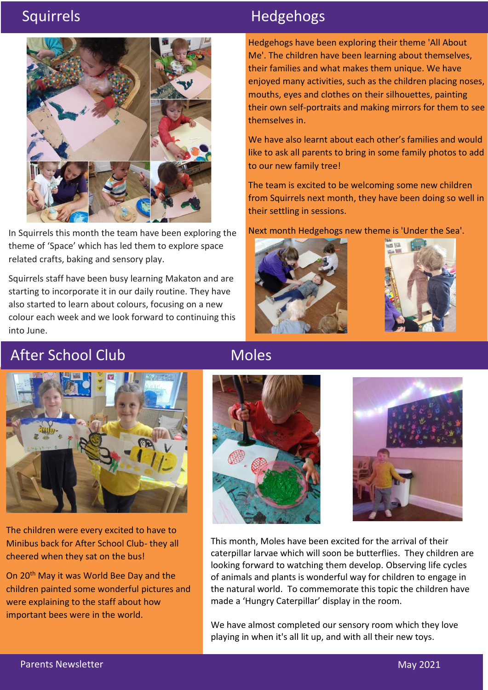

In Squirrels this month the team have been exploring the theme of 'Space' which has led them to explore space related crafts, baking and sensory play.

Squirrels staff have been busy learning Makaton and are starting to incorporate it in our daily routine. They have also started to learn about colours, focusing on a new colour each week and we look forward to continuing this into June.

# Squirrels **Hedgehogs**

Hedgehogs have been exploring their theme 'All About Me'. The children have been learning about themselves, their families and what makes them unique. We have enjoyed many activities, such as the children placing noses, mouths, eyes and clothes on their silhouettes, painting their own self-portraits and making mirrors for them to see themselves in.

We have also learnt about each other's families and would like to ask all parents to bring in some family photos to add to our new family tree!

The team is excited to be welcoming some new children from Squirrels next month, they have been doing so well in their settling in sessions.

Next month Hedgehogs new theme is 'Under the Sea'.





# After School Club



The children were every excited to have to Minibus back for After School Club- they all cheered when they sat on the bus!

On 20<sup>th</sup> May it was World Bee Day and the children painted some wonderful pictures and were explaining to the staff about how important bees were in the world.

#### Moles





This month, Moles have been excited for the arrival of their caterpillar larvae which will soon be butterflies. They children are looking forward to watching them develop. Observing life cycles of animals and plants is wonderful way for children to engage in the natural world. To commemorate this topic the children have made a 'Hungry Caterpillar' display in the room.

We have almost completed our sensory room which they love playing in when it's all lit up, and with all their new toys.